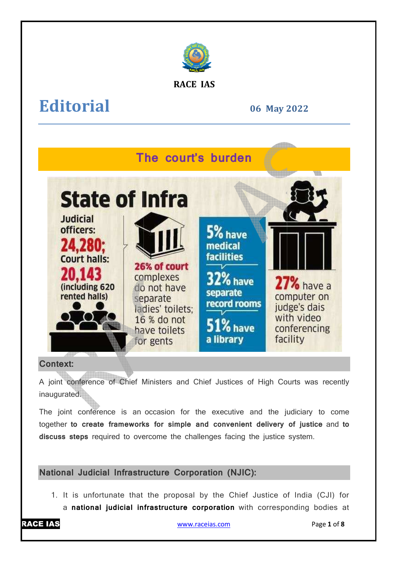

## **RACE IAS**

# **Editorial**

**06 May 2022**



#### **Context:**

A joint conference of Chief Ministers and Chief Justices of High Courts was recently inaugurated.

The joint conference is an occasion for the executive and the judiciary to come together **to create frameworks for simple and convenient delivery of justice** and **to**  discuss steps required to overcome the challenges facing the justice system.

## **National Judicial Infrastructure Corporation (NJIC):**

1. It is unfortunate that the proposal by the Chief Justice of India (CJI) for a **national judicial infrastructure corporation** with corresponding bodies at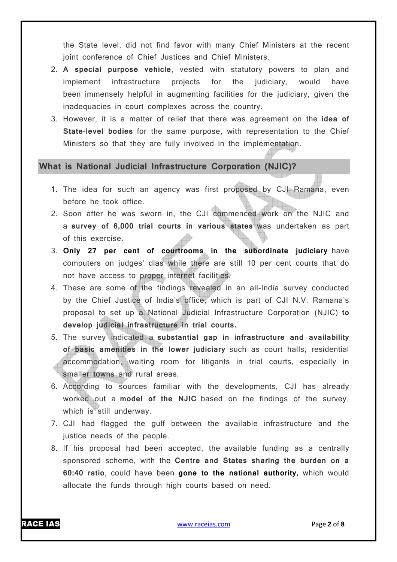the State level, did not find favor with many Chief Ministers at the recent joint conference of Chief Justices and Chief Ministers.

- 2. **A special purpose vehicle**, vested with statutory powers to plan and implement infrastructure projects for the judiciary, would have been immensely helpful in augmenting facilities for the judiciary, given the inadequacies in court complexes across the country.
- 3. However, it is a matter of relief that there was agreement on the **idea of State-level bodies** for the same purpose, with representation to the Chief Ministers so that they are fully involved in the implementation.

#### **What is National Judicial Infrastructure Corporation (NJIC)?**

- 1. The idea for such an agency was first proposed by CJI Ramana, even before he took office.
- 2. Soon after he was sworn in, the CJI commenced work on the NJIC and a **survey of 6,000 trial courts in various states** was undertaken as part of this exercise.
- 3. **Only 27 per cent of courtrooms in the subordinate judiciary** have computers on judges' dias while there are still 10 per cent courts that do not have access to proper internet facilities.
- 4. These are some of the findings revealed in an all-India survey conducted by the Chief Justice of India's office, which is part of CJI N.V. Ramana's proposal to set up a National Judicial Infrastructure Corporation (NJIC) **to develop judicial infrastructure in trial courts.**
- 5. The survey indicated a **substantial gap in infrastructure and availability of basic amenities in the lower judiciary** such as court halls, residential accommodation, waiting room for litigants in trial courts, especially in smaller towns and rural areas.
- 6. According to sources familiar with the developments, CJI has already worked out a **model of the NJIC** based on the findings of the survey, which is still underway.
- 7. CJI had flagged the gulf between the available infrastructure and the justice needs of the people.
- 8. If his proposal had been accepted, the available funding as a centrally sponsored scheme, with the **Centre and States sharing the burden on a 60:40 ratio**, could have been **gone to the national authority,** which would allocate the funds through high courts based on need.

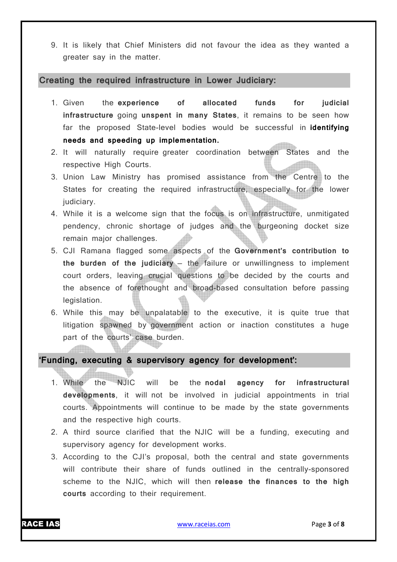9. It is likely that Chief Ministers did not favour the idea as they wanted a greater say in the matter.

#### **Creating the required infrastructure in Lower Judiciary:**

- 1. Given the **experience of allocated funds for judicial infrastructure** going **unspent in many States**, it remains to be seen how far the proposed State-level bodies would be successful in **identifying needs and speeding up implementation.**
- 2. It will naturally require greater coordination between States and the respective High Courts.
- 3. Union Law Ministry has promised assistance from the Centre to the States for creating the required infrastructure, especially for the lower judiciary.
- 4. While it is a welcome sign that the focus is on infrastructure, unmitigated pendency, chronic shortage of judges and the burgeoning docket size remain major challenges.
- 5. CJI Ramana flagged some aspects of the **Government's contribution to the burden of the judiciary** — the failure or unwillingness to implement court orders, leaving crucial questions to be decided by the courts and the absence of forethought and broad-based consultation before passing legislation.
- 6. While this may be unpalatable to the executive, it is quite true that litigation spawned by government action or inaction constitutes a huge part of the courts' case burden.

#### **'Funding, executing & supervisory agency for development':**

- 1. While the NJIC will be the **nodal agency for infrastructural developments**, it will not be involved in judicial appointments in trial courts. Appointments will continue to be made by the state governments and the respective high courts.
- 2. A third source clarified that the NJIC will be a funding, executing and supervisory agency for development works.
- 3. According to the CJI's proposal, both the central and state governments will contribute their share of funds outlined in the centrally-sponsored scheme to the NJIC, which will then **release the finances to the high courts** according to their requirement.

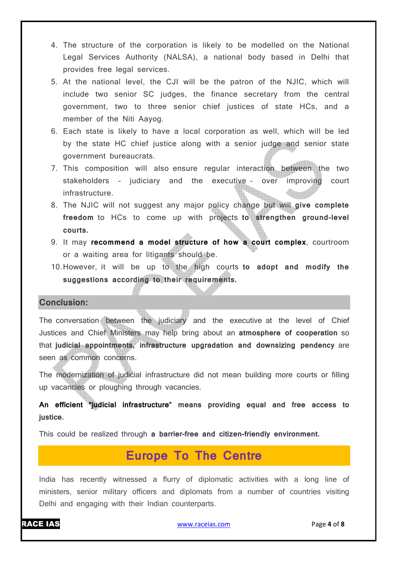- 4. The structure of the corporation is likely to be modelled on the National Legal Services Authority (NALSA), a national body based in Delhi that provides free legal services.
- 5. At the national level, the CJI will be the patron of the NJIC, which will include two senior SC judges, the finance secretary from the central government, two to three senior chief justices of state HCs, and a member of the Niti Aayog.
- 6. Each state is likely to have a local corporation as well, which will be led by the state HC chief justice along with a senior judge and senior state government bureaucrats.
- 7. This composition will also ensure regular interaction between the two stakeholders – judiciary and the executive – over improving court infrastructure.
- 8. The NJIC will not suggest any major policy change but will **give complete freedom** to HCs to come up with projects **to strengthen ground-level courts.**
- 9. It may **recommend a model structure of how a court complex**, courtroom or a waiting area for litigants should be.
- 10.However, it will be up to the high courts **to adopt and modify the suggestions according to their requirements.**

#### **Conclusion:**

The conversation between the judiciary and the executive at the level of Chief Justices and Chief Ministers may help bring about an **atmosphere of cooperation** so that **judicial appointments, infrastructure upgradation and downsizing pendency** are seen as common concerns.

The modernization of judicial infrastructure did not mean building more courts or filling up vacancies or ploughing through vacancies.

**An efficient "judicial infrastructure" means providing equal and free access to justice.**

This could be realized through **a barrier-free and citizen-friendly environment.**

# **Europe To The Centre**

India has recently witnessed a flurry of diplomatic activities with a long line of ministers, senior military officers and diplomats from a number of countries visiting Delhi and engaging with their Indian counterparts.

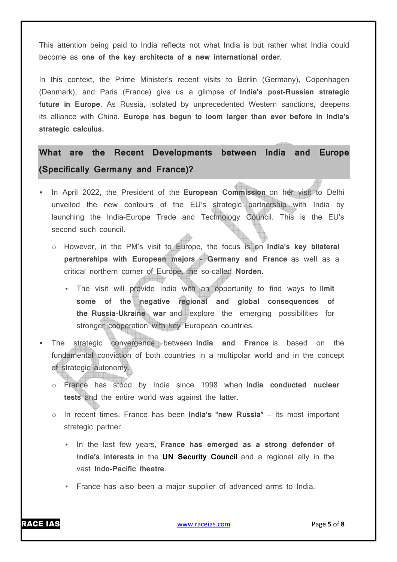This attention being paid to India reflects not what India is but rather what India could become as **one of the key architects of a new international order**.

In this context, the Prime Minister's recent visits to Berlin (Germany), Copenhagen (Denmark), and Paris (France) give us a glimpse of **India's post-Russian strategic future in Europe**. As Russia, isolated by unprecedented Western sanctions, deepens its alliance with China, **Europe has begun to loom larger than ever before in India's strategic calculus.**

**What are the Recent Developments between India and Europe (Specifically Germany and France)?** 

- In April 2022, the President of the **European Commission** on her visit to Delhi unveiled the new contours of the EU's strategic partnership with India by launching the India-Europe Trade and Technology Council. This is the EU's second such council.
	- o However, in the PM's visit to Europe, the focus is on **India's key bilateral partnerships with European majors - Germany and France** as well as a critical northern corner of Europe, the so-called **Norden.**
		- The visit will provide India with an opportunity to find ways to **limit some of the negative regional and global consequences of the Russia-Ukraine war** and explore the emerging possibilities for stronger cooperation with key European countries.
- The strategic convergence between **India and France** is based on the fundamental conviction of both countries in a multipolar world and in the concept of strategic autonomy.
	- o France has stood by India since 1998 when **India conducted nuclear tests** and the entire world was against the latter.
	- o In recent times, France has been **India's "new Russia"** its most important strategic partner.
		- In the last few years, **France has emerged as a strong defender of India's interests** in the **UN Security Council** and a regional ally in the vast **Indo-Pacific theatre**.
		- France has also been a major supplier of advanced arms to India.

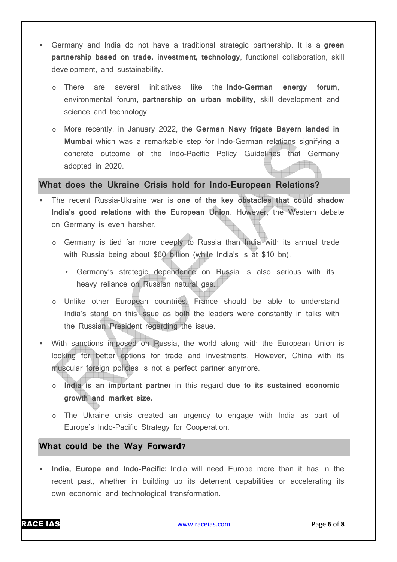- Germany and India do not have a traditional strategic partnership. It is a **green partnership based on trade, investment, technology**, functional collaboration, skill development, and sustainability.
	- o There are several initiatives like the **Indo-German energy forum**, environmental forum, **partnership on urban mobility**, skill development and science and technology.
	- o More recently, in January 2022, the **German Navy frigate Bayern landed in Mumbai** which was a remarkable step for Indo-German relations signifying a concrete outcome of the Indo-Pacific Policy Guidelines that Germany adopted in 2020.

#### **What does the Ukraine Crisis hold for Indo-European Relations?**

- The recent Russia-Ukraine war is **one of the key obstacles that could shadow India's good relations with the European Union**. However, the Western debate on Germany is even harsher.
	- o Germany is tied far more deeply to Russia than India with its annual trade with Russia being about \$60 billion (while India's is at \$10 bn).
		- Germany's strategic dependence on Russia is also serious with its heavy reliance on Russian natural gas.
	- o Unlike other European countries, France should be able to understand India's stand on this issue as both the leaders were constantly in talks with the Russian President regarding the issue.
- With sanctions imposed on Russia, the world along with the European Union is looking for better options for trade and investments. However, China with its muscular foreign policies is not a perfect partner anymore.
	- o **India is an important partne**r in this regard **due to its sustained economic growth and market size.**
	- o The Ukraine crisis created an urgency to engage with India as part of Europe's Indo-Pacific Strategy for Cooperation.

#### **What could be the Way Forward?**

 **India, Europe and Indo-Pacific:** India will need Europe more than it has in the recent past, whether in building up its deterrent capabilities or accelerating its own economic and technological transformation.

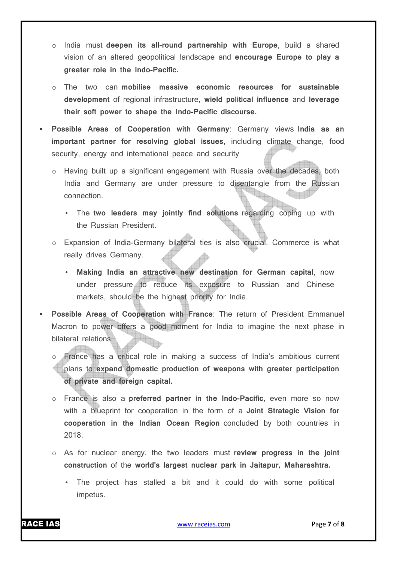- o India must **deepen its all-round partnership with Europe**, build a shared vision of an altered geopolitical landscape and **encourage Europe to play a greater role in the Indo-Pacific.**
- o The two can **mobilise massive economic resources for sustainable development** of regional infrastructure, **wield political influence** and **leverage their soft power to shape the Indo-Pacific discourse.**
- **Possible Areas of Cooperation with Germany**: Germany views **India as an important partner for resolving global issues**, including climate change, food security, energy and international peace and security
	- o Having built up a significant engagement with Russia over the decades, both India and Germany are under pressure to disentangle from the Russian connection.
		- The **two leaders may jointly find solutions** regarding coping up with the Russian President.
	- o Expansion of India-Germany bilateral ties is also crucial. Commerce is what really drives Germany.
		- **Making India an attractive new destination for German capital**, now under pressure to reduce its exposure to Russian and Chinese markets, should be the highest priority for India.
- **Possible Areas of Cooperation with France**: The return of President Emmanuel Macron to power offers a good moment for India to imagine the next phase in bilateral relations.
	- France has a critical role in making a success of India's ambitious current plans to **expand domestic production of weapons with greater participation of private and foreign capital.**
	- o France is also a **preferred partner in the Indo-Pacific**, even more so now with a blueprint for cooperation in the form of a **Joint Strategic Vision for cooperation in the Indian Ocean Region** concluded by both countries in 2018.
	- o As for nuclear energy, the two leaders must **review progress in the joint construction** of the **world's largest nuclear park in Jaitapur, Maharashtra.**
		- The project has stalled a bit and it could do with some political impetus.